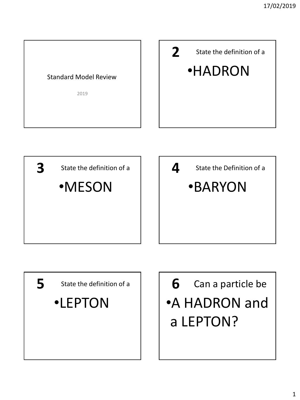



•A HADRON and a LEPTON? **6**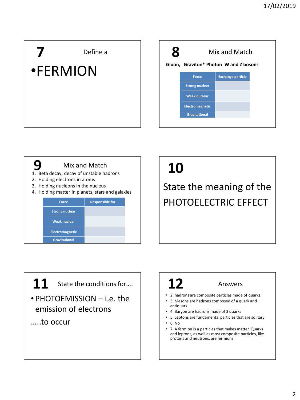## Define a •FERMION





## **10**

PHOTOELECTRIC EFFECT

 $\bf 11$  State the conditions for....  $\begin{vmatrix} 1 & 1 & 1 \end{vmatrix}$  Answers

• PHOTOEMISSION – i.e. the emission of electrons

…..to occur

## **12**

- 2. hadrons are composite particles made of quarks.
- 3. Mesons are hadrons composed of a quark and antiquark
- 4. Baryon are hadrons made of 3 quarks
- 5. Leptons are fundamental particles that are solitary
- 6. No
- 7. A fermion is a particles that makes matter. Quarks and leptons, as well as most composite particles, like protons and neutrons, are fermions.